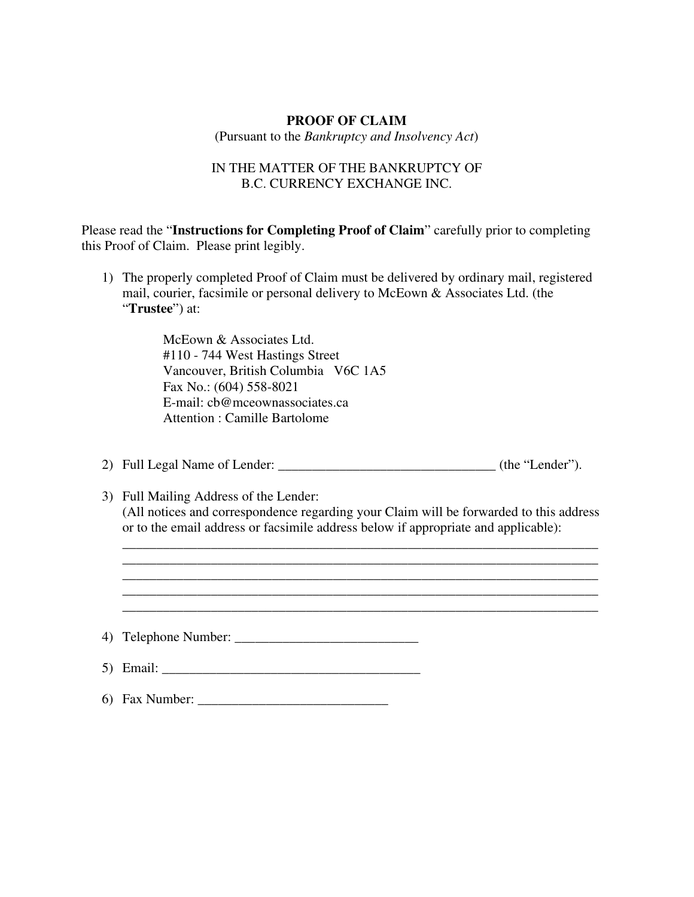# **PROOF OF CLAIM**

(Pursuant to the *Bankruptcy and Insolvency Act*)

# IN THE MATTER OF THE BANKRUPTCY OF B.C. CURRENCY EXCHANGE INC.

Please read the "**Instructions for Completing Proof of Claim**" carefully prior to completing this Proof of Claim. Please print legibly.

1) The properly completed Proof of Claim must be delivered by ordinary mail, registered mail, courier, facsimile or personal delivery to McEown & Associates Ltd. (the "**Trustee**") at:

> McEown & Associates Ltd. #110 - 744 West Hastings Street Vancouver, British Columbia V6C 1A5 Fax No.: (604) 558-8021 E-mail: cb@mceownassociates.ca Attention : Camille Bartolome

- 2) Full Legal Name of Lender: \_\_\_\_\_\_\_\_\_\_\_\_\_\_\_\_\_\_\_\_\_\_\_\_\_\_\_\_\_\_\_\_ (the "Lender").
- 3) Full Mailing Address of the Lender: (All notices and correspondence regarding your Claim will be forwarded to this address or to the email address or facsimile address below if appropriate and applicable):

\_\_\_\_\_\_\_\_\_\_\_\_\_\_\_\_\_\_\_\_\_\_\_\_\_\_\_\_\_\_\_\_\_\_\_\_\_\_\_\_\_\_\_\_\_\_\_\_\_\_\_\_\_\_\_\_\_\_\_\_\_\_\_\_\_\_\_\_\_\_ \_\_\_\_\_\_\_\_\_\_\_\_\_\_\_\_\_\_\_\_\_\_\_\_\_\_\_\_\_\_\_\_\_\_\_\_\_\_\_\_\_\_\_\_\_\_\_\_\_\_\_\_\_\_\_\_\_\_\_\_\_\_\_\_\_\_\_\_\_\_ \_\_\_\_\_\_\_\_\_\_\_\_\_\_\_\_\_\_\_\_\_\_\_\_\_\_\_\_\_\_\_\_\_\_\_\_\_\_\_\_\_\_\_\_\_\_\_\_\_\_\_\_\_\_\_\_\_\_\_\_\_\_\_\_\_\_\_\_\_\_ \_\_\_\_\_\_\_\_\_\_\_\_\_\_\_\_\_\_\_\_\_\_\_\_\_\_\_\_\_\_\_\_\_\_\_\_\_\_\_\_\_\_\_\_\_\_\_\_\_\_\_\_\_\_\_\_\_\_\_\_\_\_\_\_\_\_\_\_\_\_ \_\_\_\_\_\_\_\_\_\_\_\_\_\_\_\_\_\_\_\_\_\_\_\_\_\_\_\_\_\_\_\_\_\_\_\_\_\_\_\_\_\_\_\_\_\_\_\_\_\_\_\_\_\_\_\_\_\_\_\_\_\_\_\_\_\_\_\_\_\_

4) Telephone Number: \_\_\_\_\_\_\_\_\_\_\_\_\_\_\_\_\_\_\_\_\_\_\_\_\_\_\_

- 5) Email: \_\_\_\_\_\_\_\_\_\_\_\_\_\_\_\_\_\_\_\_\_\_\_\_\_\_\_\_\_\_\_\_\_\_\_\_\_\_
- 6) Fax Number:  $\Box$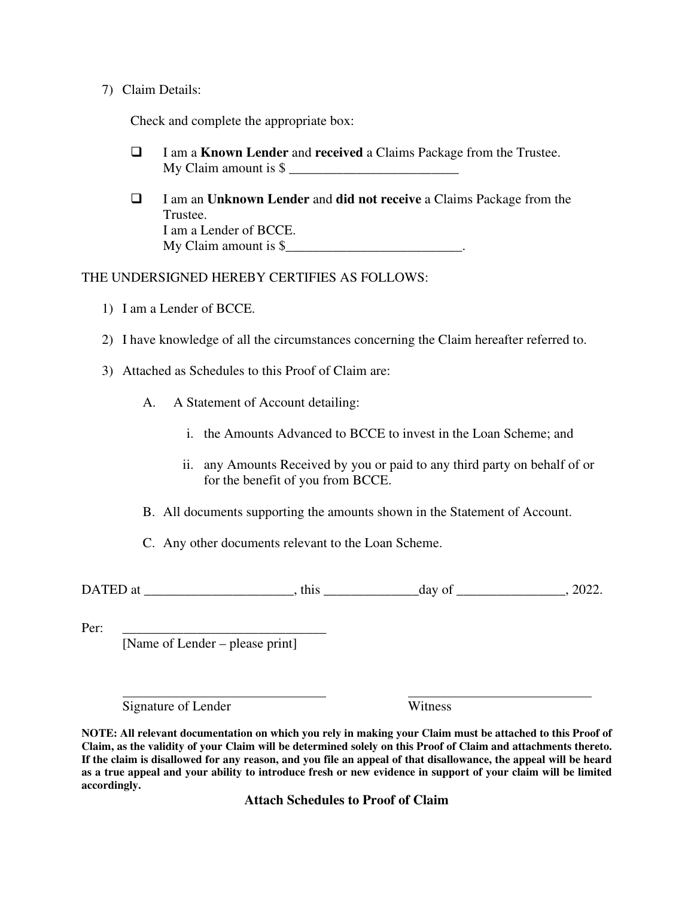## 7) Claim Details:

Check and complete the appropriate box:

- I am a **Known Lender** and **received** a Claims Package from the Trustee. My Claim amount is  $\frac{1}{2}$
- I am an **Unknown Lender** and **did not receive** a Claims Package from the Trustee. I am a Lender of BCCE. My Claim amount is  $\frac{1}{2}$

# THE UNDERSIGNED HEREBY CERTIFIES AS FOLLOWS:

- 1) I am a Lender of BCCE.
- 2) I have knowledge of all the circumstances concerning the Claim hereafter referred to.
- 3) Attached as Schedules to this Proof of Claim are:
	- A. A Statement of Account detailing:
		- i. the Amounts Advanced to BCCE to invest in the Loan Scheme; and
		- ii. any Amounts Received by you or paid to any third party on behalf of or for the benefit of you from BCCE.
	- B. All documents supporting the amounts shown in the Statement of Account.

C. Any other documents relevant to the Loan Scheme.

DATED at \_\_\_\_\_\_\_\_\_\_\_\_\_\_\_\_\_\_\_\_\_\_, this \_\_\_\_\_\_\_\_\_\_\_\_\_\_day of \_\_\_\_\_\_\_\_\_\_\_\_\_\_\_\_, 2022.

Per: \_\_\_\_\_\_\_\_\_\_\_\_\_\_\_\_\_\_\_\_\_\_\_\_\_\_\_\_\_\_

[Name of Lender – please print]

Signature of Lender Witness

**NOTE: All relevant documentation on which you rely in making your Claim must be attached to this Proof of Claim, as the validity of your Claim will be determined solely on this Proof of Claim and attachments thereto. If the claim is disallowed for any reason, and you file an appeal of that disallowance, the appeal will be heard as a true appeal and your ability to introduce fresh or new evidence in support of your claim will be limited accordingly.** 

**Attach Schedules to Proof of Claim**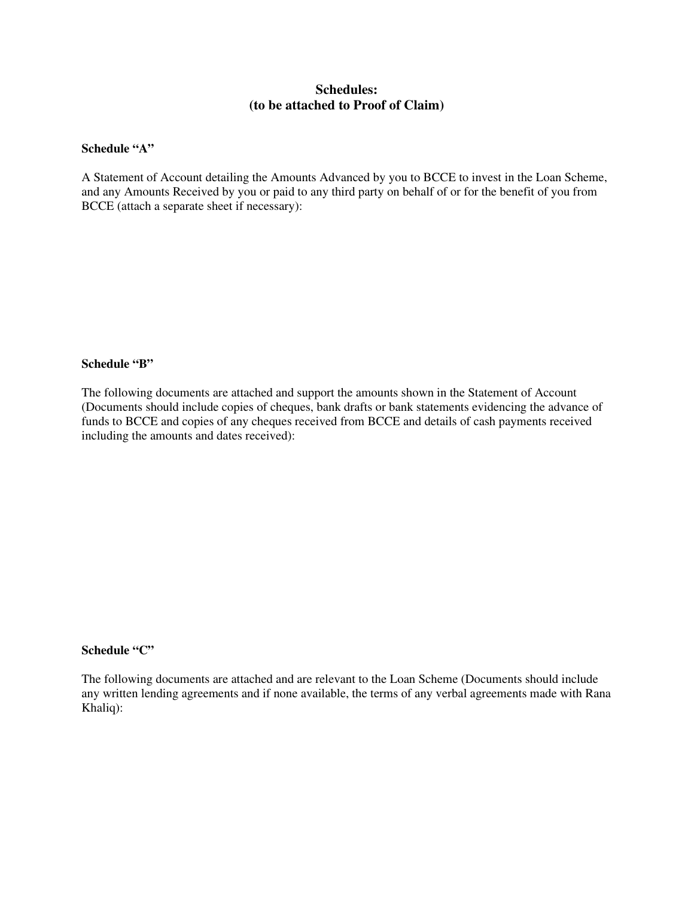# **Schedules: (to be attached to Proof of Claim)**

#### **Schedule "A"**

A Statement of Account detailing the Amounts Advanced by you to BCCE to invest in the Loan Scheme, and any Amounts Received by you or paid to any third party on behalf of or for the benefit of you from BCCE (attach a separate sheet if necessary):

#### **Schedule "B"**

The following documents are attached and support the amounts shown in the Statement of Account (Documents should include copies of cheques, bank drafts or bank statements evidencing the advance of funds to BCCE and copies of any cheques received from BCCE and details of cash payments received including the amounts and dates received):

# **Schedule "C"**

The following documents are attached and are relevant to the Loan Scheme (Documents should include any written lending agreements and if none available, the terms of any verbal agreements made with Rana Khaliq):